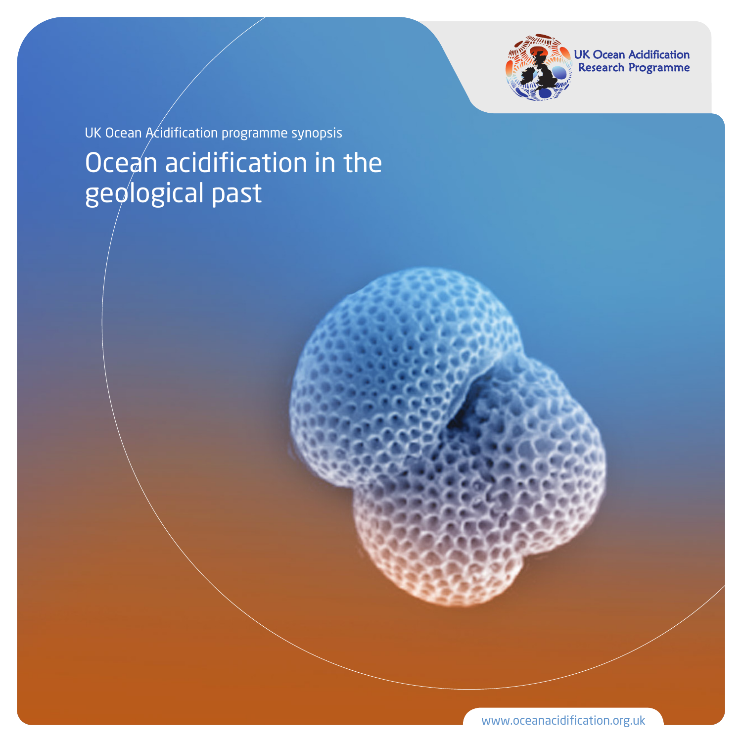

UK Ocean Acidification<br>Research Programme

### Ocean acidification in the geological past UK Ocean Acidification programme synopsis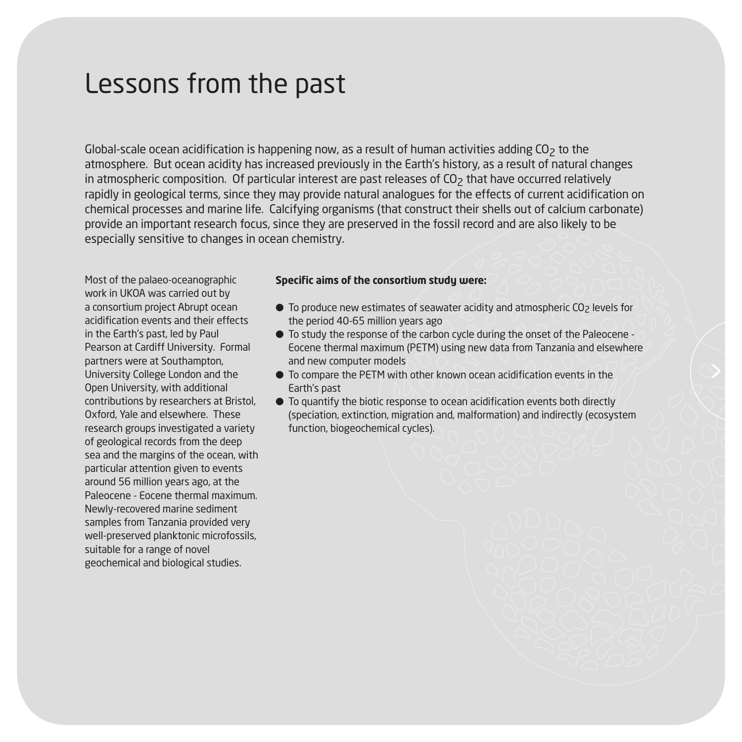#### Lessons from the past

Global-scale ocean acidification is happening now, as a result of human activities adding  $O<sub>2</sub>$  to the atmosphere. But ocean acidity has increased previously in the Earth's history, as a result of natural changes in atmospheric composition. Of particular interest are past releases of  $CO<sub>2</sub>$  that have occurred relatively rapidly in geological terms, since they may provide natural analogues for the effects of current acidification on chemical processes and marine life. Calcifying organisms (that construct their shells out of calcium carbonate) provide an important research focus, since they are preserved in the fossil record and are also likely to be especially sensitive to changes in ocean chemistry.

Most of the palaeo-oceanographic work in UKOA was carried out by a consortium project Abrupt ocean acidification events and their effects in the Earth's past, led by Paul Pearson at Cardiff University. Formal partners were at Southampton, University College London and the Open University, with additional contributions by researchers at Bristol, Oxford, Yale and elsewhere. These research groups investigated a variety of geological records from the deep sea and the margins of the ocean, with particular attention given to events around 56 million years ago, at the Paleocene - Eocene thermal maximum. Newly-recovered marine sediment samples from Tanzania provided very well-preserved planktonic microfossils, suitable for a range of novel geochemical and biological studies.

#### **Specific aims of the consortium study were:**

- To produce new estimates of seawater acidity and atmospheric CO<sub>2</sub> levels for the period 40-65 million years ago
- $\bullet$  To study the response of the carbon cycle during the onset of the Paleocene -Eocene thermal maximum (PETM) using new data from Tanzania and elsewhere and new computer models
- $\bullet$  To compare the PETM with other known ocean acidification events in the Earth's past
- $\bullet$  To quantify the biotic response to ocean acidification events both directly (speciation, extinction, migration and, malformation) and indirectly (ecosystem function, biogeochemical cycles).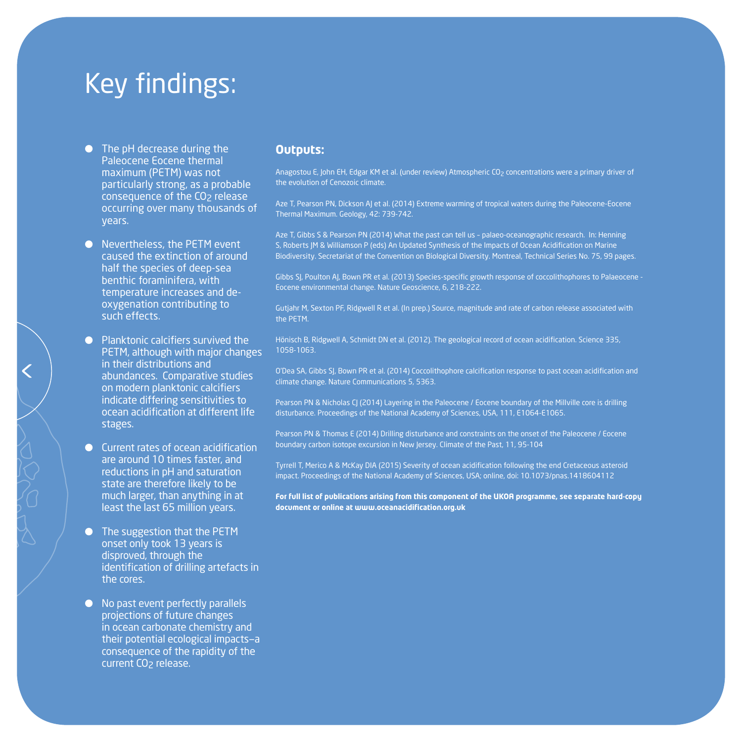## Key findings:

- **•** The pH decrease during the Paleocene Eocene thermal maximum (PETM) was not particularly strong, as a probable consequence of the CO<sub>2</sub> release occurring over many thousands of years.
- **•** Nevertheless, the PETM event caused the extinction of around half the species of deep-sea benthic foraminifera, with temperature increases and deoxygenation contributing to such effects.
- $\bullet$  Planktonic calcifiers survived the PETM, although with major changes in their distributions and abundances. Comparative studies on modern planktonic calcifiers indicate differing sensitivities to ocean acidification at different life stages.
- **•** Current rates of ocean acidification are around 10 times faster, and reductions in pH and saturation state are therefore likely to be much larger, than anything in at least the last 65 million years.
- The suggestion that the PETM onset only took 13 years is disproved, through the identification of drilling artefacts in the cores.
- No past event perfectly parallels projections of future changes in ocean carbonate chemistry and their potential ecological impacts—a consequence of the rapidity of the current CO<sub>2</sub> release.

#### **Outputs:**

Anagostou E, John EH, Edgar KM et al. (under review) Atmospheric CO<sub>2</sub> concentrations were a primary driver of the evolution of Cenozoic climate.

Aze T, Pearson PN, Dickson AJ et al. (2014) Extreme warming of tropical waters during the Paleocene-Eocene Thermal Maximum. Geology, 42: 739-742.

Aze T, Gibbs S & Pearson PN (2014) What the past can tell us – palaeo-oceanographic research. In: Henning S, Roberts JM & Williamson P (eds) An Updated Synthesis of the Impacts of Ocean Acidification on Marine Biodiversity. Secretariat of the Convention on Biological Diversity. Montreal, Technical Series No. 75, 99 pages.

Gibbs SJ, Poulton AJ, Bown PR et al. (2013) Species-specific growth response of coccolithophores to Palaeocene - Eocene environmental change. Nature Geoscience, 6, 218-222.

Gutjahr M, Sexton PF, Ridgwell R et al. (In prep.) Source, magnitude and rate of carbon release associated with the PETM.

Hönisch B, Ridgwell A, Schmidt DN et al. (2012). The geological record of ocean acidification. Science 335, 1058-1063.

O'Dea SA, Gibbs SJ, Bown PR et al. (2014) Coccolithophore calcification response to past ocean acidification and climate change. Nature Communications 5, 5363.

Pearson PN & Nicholas CJ (2014) Layering in the Paleocene / Eocene boundary of the Millville core is drilling disturbance. Proceedings of the National Academy of Sciences, USA, 111, E1064-E1065.

Pearson PN & Thomas E (2014) Drilling disturbance and constraints on the onset of the Paleocene / Eocene boundary carbon isotope excursion in New Jersey. Climate of the Past, 11, 95-104

Tyrrell T, Merico A & McKay DIA (2015) Severity of ocean acidification following the end Cretaceous asteroid impact. Proceedings of the National Academy of Sciences, USA; online, doi: 10.1073/pnas.1418604112

**For full list of publications arising from this component of the UKOA programme, see separate hard-copy document or online at www.oceanacidification.org.uk**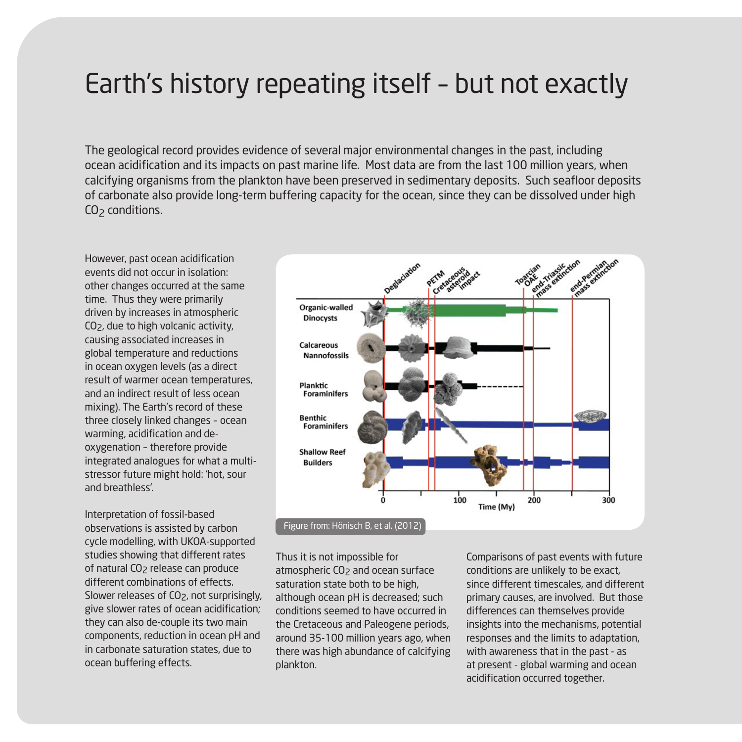#### Earth's history repeating itself – but not exactly

The geological record provides evidence of several major environmental changes in the past, including ocean acidification and its impacts on past marine life. Most data are from the last 100 million years, when calcifying organisms from the plankton have been preserved in sedimentary deposits. Such seafloor deposits of carbonate also provide long-term buffering capacity for the ocean, since they can be dissolved under high  $CO<sub>2</sub>$  conditions.

However, past ocean acidification events did not occur in isolation: other changes occurred at the same time. Thus they were primarily driven by increases in atmospheric CO2, due to high volcanic activity, causing associated increases in global temperature and reductions in ocean oxygen levels (as a direct result of warmer ocean temperatures, and an indirect result of less ocean mixing). The Earth's record of these three closely linked changes – ocean warming, acidification and deoxygenation – therefore provide integrated analogues for what a multistressor future might hold: 'hot, sour and breathless'.

Interpretation of fossil-based observations is assisted by carbon cycle modelling, with UKOA-supported studies showing that different rates of natural CO<sub>2</sub> release can produce different combinations of effects. Slower releases of CO<sub>2</sub>, not surprisingly, give slower rates of ocean acidification; they can also de-couple its two main components, reduction in ocean pH and in carbonate saturation states, due to ocean buffering effects.



Figure from: Hönisch B, et al. (2012)

Thus it is not impossible for atmospheric CO<sub>2</sub> and ocean surface saturation state both to be high, although ocean pH is decreased; such conditions seemed to have occurred in the Cretaceous and Paleogene periods, around 35-100 million years ago, when there was high abundance of calcifying plankton.

Comparisons of past events with future conditions are unlikely to be exact, since different timescales, and different primary causes, are involved. But those differences can themselves provide insights into the mechanisms, potential responses and the limits to adaptation, with awareness that in the past - as at present - global warming and ocean acidification occurred together.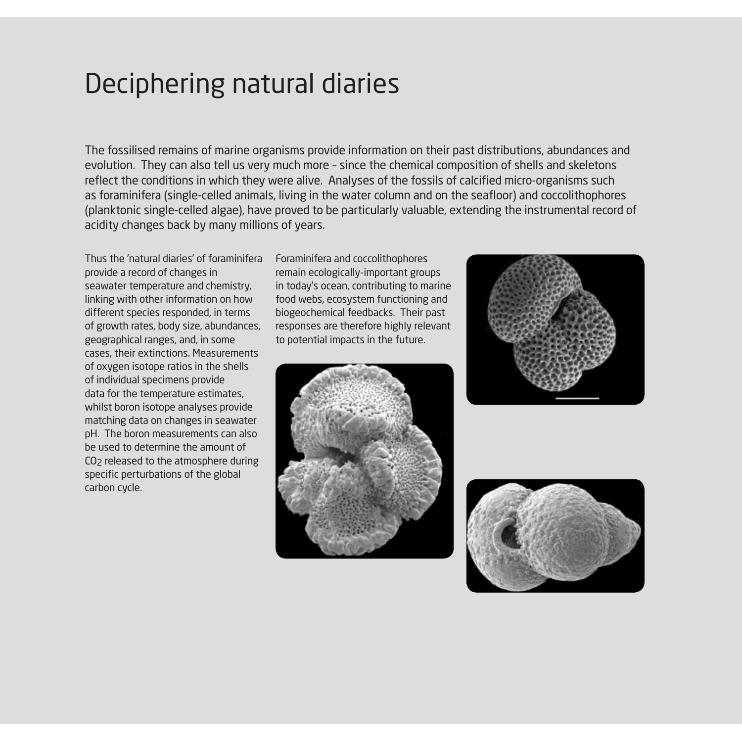#### Deciphering natural diaries

The fossilised remains of marine organisms provide information on their past distributions, abundances and evolution. They can also tell us very much more – since the chemical composition of shells and skeletons reflect the conditions in which they were alive. Analyses of the fossils of calcified micro-organisms such as foraminifera (single-celled animals, living in the water column and on the seafloor) and coccolithophores (planktonic single-celled algae), have proved to be particularly valuable, extending the instrumental record of acidity changes back by many millions of years.

Thus the 'natural diaries' of foraminifera provide a record of changes in seawater temperature and chemistry, linking with other information on how different species responded, in terms of growth rates, body size, abundances, geographical ranges, and, in some cases, their extinctions. Measurements of oxygen isotope ratios in the shells of individual specimens provide data for the temperature estimates, whilst boron isotope analyses provide matching data on changes in seawater pH. The boron measurements can also be used to determine the amount of CO2 released to the atmosphere during specific perturbations of the global carbon cycle.

Foraminifera and coccolithophores remain ecologically-important groups in today's ocean, contributing to marine food webs, ecosystem functioning and biogeochemical feedbacks. Their past responses are therefore highly relevant to potential impacts in the future.





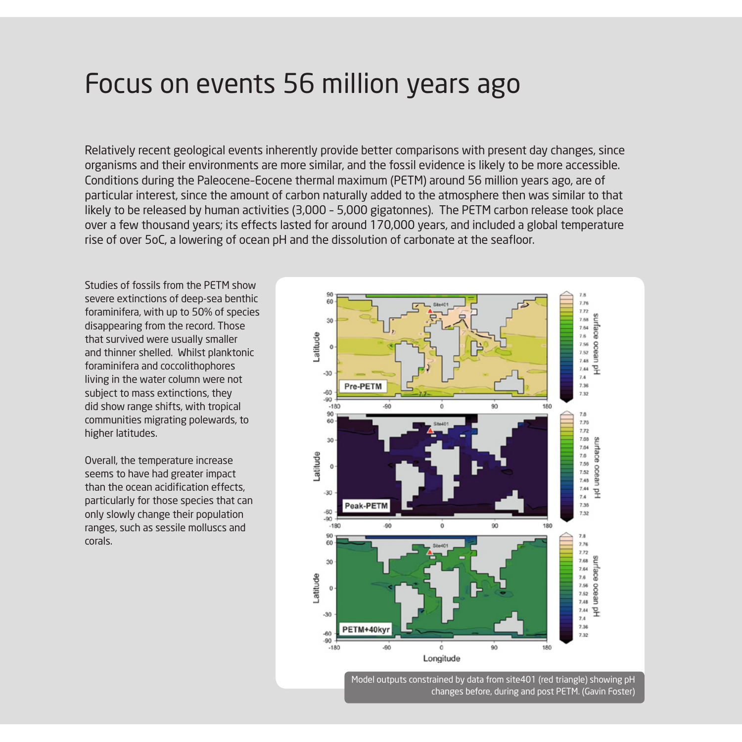#### Focus on events 56 million years ago

Relatively recent geological events inherently provide better comparisons with present day changes, since organisms and their environments are more similar, and the fossil evidence is likely to be more accessible. Conditions during the Paleocene–Eocene thermal maximum (PETM) around 56 million years ago, are of particular interest, since the amount of carbon naturally added to the atmosphere then was similar to that likely to be released by human activities (3,000 – 5,000 gigatonnes). The PETM carbon release took place over a few thousand years; its effects lasted for around 170,000 years, and included a global temperature rise of over 5oC, a lowering of ocean pH and the dissolution of carbonate at the seafloor.

Studies of fossils from the PETM show severe extinctions of deep-sea benthic foraminifera, with up to 50% of species disappearing from the record. Those that survived were usually smaller and thinner shelled. Whilst planktonic foraminifera and coccolithophores living in the water column were not subject to mass extinctions, they did show range shifts, with tropical communities migrating polewards, to higher latitudes.

Overall, the temperature increase seems to have had greater impact than the ocean acidification effects, particularly for those species that can only slowly change their population ranges, such as sessile molluscs and corals.



Model outputs constrained by data from site401 (red triangle) showing pH changes before, during and post PETM. (Gavin Foster)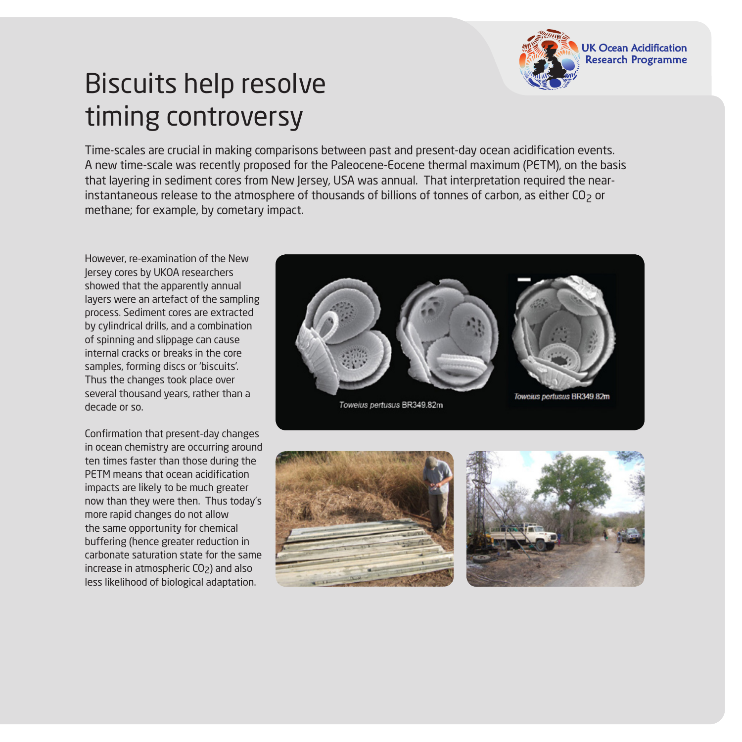

# Biscuits help resolve timing controversy

Time-scales are crucial in making comparisons between past and present-day ocean acidification events. A new time-scale was recently proposed for the Paleocene-Eocene thermal maximum (PETM), on the basis that layering in sediment cores from New Jersey, USA was annual. That interpretation required the nearinstantaneous release to the atmosphere of thousands of billions of tonnes of carbon, as either CO<sub>2</sub> or methane; for example, by cometary impact.

However, re-examination of the New Jersey cores by UKOA researchers showed that the apparently annual layers were an artefact of the sampling process. Sediment cores are extracted by cylindrical drills, and a combination of spinning and slippage can cause internal cracks or breaks in the core samples, forming discs or 'biscuits'. Thus the changes took place over several thousand years, rather than a decade or so.

Confirmation that present-day changes in ocean chemistry are occurring around ten times faster than those during the PETM means that ocean acidification impacts are likely to be much greater now than they were then. Thus today's more rapid changes do not allow the same opportunity for chemical buffering (hence greater reduction in carbonate saturation state for the same increase in atmospheric CO<sub>2</sub>) and also less likelihood of biological adaptation.